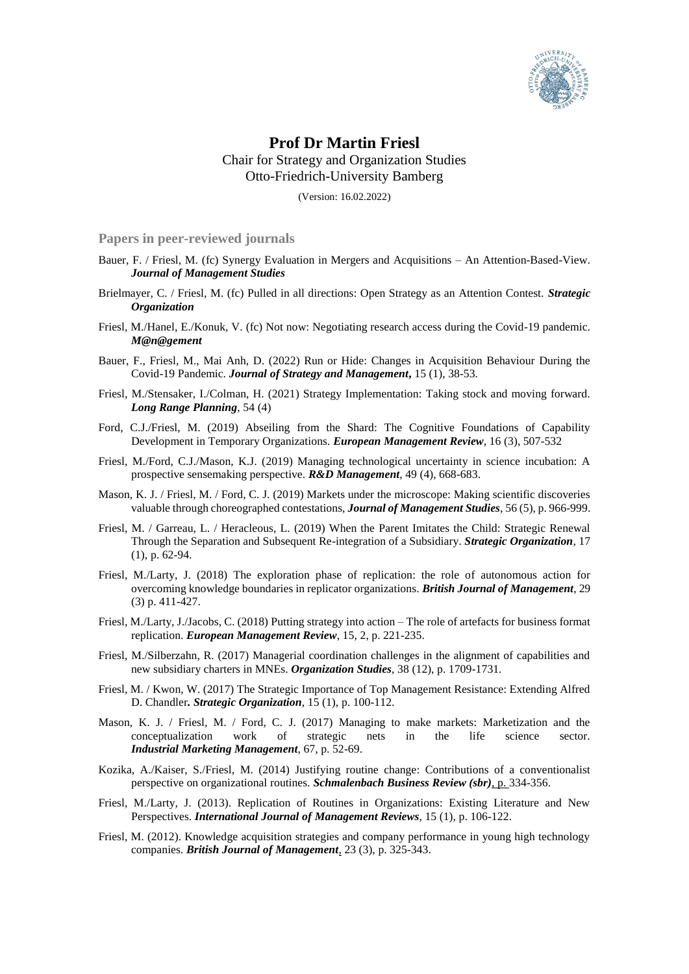

## **Prof Dr Martin Friesl** Chair for Strategy and Organization Studies Otto-Friedrich-University Bamberg

(Version: 16.02.2022)

**Papers in peer-reviewed journals**

- Bauer, F. / Friesl, M. (fc) Synergy Evaluation in Mergers and Acquisitions An Attention-Based-View. *Journal of Management Studies*
- Brielmayer, C. / Friesl, M. (fc) Pulled in all directions: Open Strategy as an Attention Contest. *Strategic Organization*
- Friesl, M./Hanel, E./Konuk, V. (fc) Not now: Negotiating research access during the Covid-19 pandemic. *M@n@gement*
- Bauer, F., Friesl, M., Mai Anh, D. (2022) Run or Hide: Changes in Acquisition Behaviour During the Covid-19 Pandemic. *Journal of Strategy and Management***,** 15 (1), 38-53*.*
- Friesl, M./Stensaker, I./Colman, H. (2021) Strategy Implementation: Taking stock and moving forward. *Long Range Planning*, 54 (4)
- Ford, C.J./Friesl, M. (2019) Abseiling from the Shard: The Cognitive Foundations of Capability Development in Temporary Organizations. *European Management Review*, 16 (3), 507-532
- Friesl, M./Ford, C.J./Mason, K.J. (2019) Managing technological uncertainty in science incubation: A prospective sensemaking perspective. *R&D Management*, 49 (4), 668-683.
- Mason, K. J. / Friesl, M. / Ford, C. J. (2019) Markets under the microscope: Making scientific discoveries valuable through choreographed contestations, *Journal of Management Studies*, 56 (5), p. 966-999.
- Friesl, M. / Garreau, L. / Heracleous, L. (2019) When the Parent Imitates the Child: Strategic Renewal Through the Separation and Subsequent Re-integration of a Subsidiary. *Strategic Organization*, 17 (1), p. 62-94.
- Friesl, M./Larty, J. (2018) The exploration phase of replication: the role of autonomous action for overcoming knowledge boundaries in replicator organizations. *British Journal of Management*, 29 (3) p. 411-427.
- Friesl, M./Larty, J./Jacobs, C. (2018) Putting strategy into action The role of artefacts for business format replication. *European Management Review*, 15, 2, p. 221-235.
- Friesl, M./Silberzahn, R. (2017) Managerial coordination challenges in the alignment of capabilities and new subsidiary charters in MNEs. *Organization Studies*, 38 (12), p. 1709-1731.
- Friesl, M. / Kwon, W. (2017) The Strategic Importance of Top Management Resistance: Extending Alfred D. Chandler*. Strategic Organization*, 15 (1), p. 100-112.
- Mason, K. J. / Friesl, M. / Ford, C. J. (2017) Managing to make markets: Marketization and the conceptualization work of strategic nets in the life science sector. *Industrial Marketing Management*, 67, p. 52-69.
- Kozika, A./Kaiser, S./Friesl, M. (2014) Justifying routine change: Contributions of a conventionalist perspective on organizational routines. *Schmalenbach Business Review (sbr)*, p. 334-356.
- Friesl, M./Larty, J. (2013). Replication of Routines in Organizations: Existing Literature and New Perspectives. *International Journal of Management Reviews*, 15 (1), p. 106-122.
- Friesl, M. (2012). Knowledge acquisition strategies and company performance in young high technology companies. *British Journal of Management*, 23 (3), p. 325-343.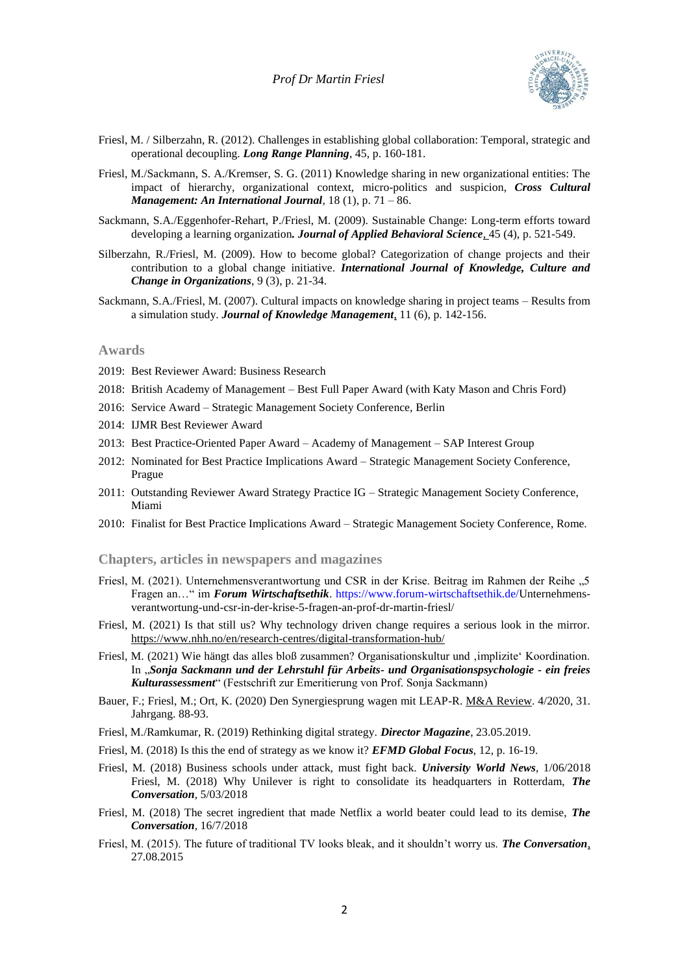

- Friesl, M. / Silberzahn, R. (2012). Challenges in establishing global collaboration: Temporal, strategic and operational decoupling. *Long Range Planning*, 45, p. 160-181.
- Friesl, M./Sackmann, S. A./Kremser, S. G. (2011) Knowledge sharing in new organizational entities: The impact of hierarchy, organizational context, micro-politics and suspicion, *Cross Cultural Management: An International Journal,* 18 (1), p. 71 – 86.
- Sackmann, S.A./Eggenhofer-Rehart, P./Friesl, M. (2009). Sustainable Change: Long-term efforts toward developing a learning organization*. Journal of Applied Behavioral Science*, 45 (4), p. 521-549.
- Silberzahn, R./Friesl, M. (2009). How to become global? Categorization of change projects and their contribution to a global change initiative. *International Journal of Knowledge, Culture and Change in Organizations*, 9 (3), p. 21-34.
- Sackmann, S.A./Friesl, M. (2007). Cultural impacts on knowledge sharing in project teams Results from a simulation study. *Journal of Knowledge Management*, 11 (6), p. 142-156.

## **Awards**

- 2019: Best Reviewer Award: Business Research
- 2018: British Academy of Management Best Full Paper Award (with Katy Mason and Chris Ford)
- 2016: Service Award Strategic Management Society Conference, Berlin
- 2014: IJMR Best Reviewer Award
- 2013: Best Practice-Oriented Paper Award Academy of Management SAP Interest Group
- 2012: Nominated for Best Practice Implications Award Strategic Management Society Conference, Prague
- 2011: Outstanding Reviewer Award Strategy Practice IG Strategic Management Society Conference, Miami
- 2010: Finalist for Best Practice Implications Award Strategic Management Society Conference, Rome.

**Chapters, articles in newspapers and magazines**

- Friesl, M. (2021). Unternehmensverantwortung und CSR in der Krise. Beitrag im Rahmen der Reihe "5 Fragen an…" im *Forum Wirtschaftsethik*. [https://www.forum-wirtschaftsethik.de/U](https://www.forum-wirtschaftsethik.de/)nternehmensverantwortung-und-csr-in-der-krise-5-fragen-an-prof-dr-martin-friesl/
- Friesl, M. (2021) Is that still us? Why technology driven change requires a serious look in the mirror. https://www.nhh.no/en/research-centres/digital-transformation-hub/
- Friesl, M. (2021) Wie hängt das alles bloß zusammen? Organisationskultur und 'implizite' Koordination. In "*Sonja Sackmann und der Lehrstuhl für Arbeits- und Organisationspsychologie - ein freies Kulturassessment*" (Festschrift zur Emeritierung von Prof. Sonja Sackmann)
- Bauer, F.; Friesl, M.; Ort, K. (2020) Den Synergiesprung wagen mit LEAP-R. M&A Review. 4/2020, 31. Jahrgang. 88-93.
- Friesl, M./Ramkumar, R. (2019) Rethinking digital strategy. *Director Magazine*, 23.05.2019.
- Friesl, M. (2018) Is this the end of strategy as we know it? *EFMD Global Focus*, 12, p. 16-19.
- Friesl, M. (2018) Business schools under attack, must fight back. *University World News*, 1/06/2018 Friesl, M. (2018) Why Unilever is right to consolidate its headquarters in Rotterdam, *The Conversation*, 5/03/2018
- Friesl, M. (2018) The secret ingredient that made Netflix a world beater could lead to its demise, *The Conversation*, 16/7/2018
- Friesl, M. (2015). The future of traditional TV looks bleak, and it shouldn't worry us. *The Conversation*, 27.08.2015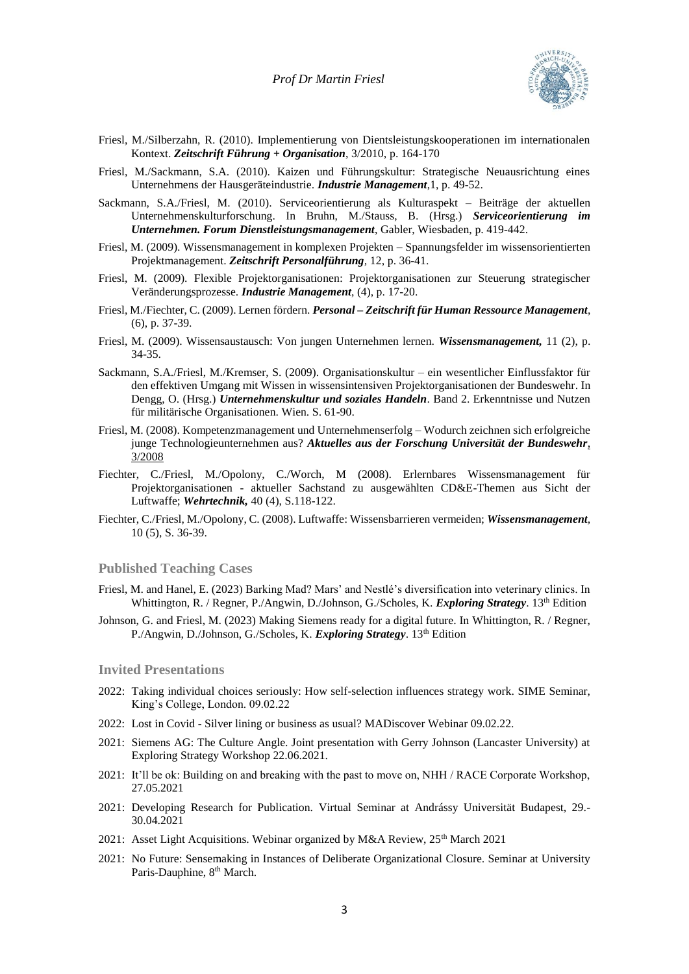

- Friesl, M./Silberzahn, R. (2010). Implementierung von Dientsleistungskooperationen im internationalen Kontext. *Zeitschrift Führung + Organisation*, 3/2010, p. 164-170
- Friesl, M./Sackmann, S.A. (2010). Kaizen und Führungskultur: Strategische Neuausrichtung eines Unternehmens der Hausgeräteindustrie. *Industrie Management*,1, p. 49-52.
- Sackmann, S.A./Friesl, M. (2010). Serviceorientierung als Kulturaspekt Beiträge der aktuellen Unternehmenskulturforschung. In Bruhn, M./Stauss, B. (Hrsg.) *Serviceorientierung im Unternehmen. Forum Dienstleistungsmanagement*, Gabler, Wiesbaden, p. 419-442.
- Friesl, M. (2009). Wissensmanagement in komplexen Projekten Spannungsfelder im wissensorientierten Projektmanagement. *Zeitschrift Personalführung,* 12, p. 36-41.
- Friesl, M. (2009). Flexible Projektorganisationen: Projektorganisationen zur Steuerung strategischer Veränderungsprozesse. *Industrie Management*, (4), p. 17-20.
- Friesl, M./Fiechter, C. (2009). Lernen fördern. *Personal – Zeitschrift für Human Ressource Management*, (6), p. 37-39.
- Friesl, M. (2009). Wissensaustausch: Von jungen Unternehmen lernen. *Wissensmanagement,* 11 (2), p. 34-35.
- Sackmann, S.A./Friesl, M./Kremser, S. (2009). Organisationskultur ein wesentlicher Einflussfaktor für den effektiven Umgang mit Wissen in wissensintensiven Projektorganisationen der Bundeswehr. In Dengg, O. (Hrsg.) *Unternehmenskultur und soziales Handeln*. Band 2. Erkenntnisse und Nutzen für militärische Organisationen. Wien. S. 61-90.
- Friesl, M. (2008). Kompetenzmanagement und Unternehmenserfolg Wodurch zeichnen sich erfolgreiche junge Technologieunternehmen aus? *Aktuelles aus der Forschung Universität der Bundeswehr*, 3/2008
- Fiechter, C./Friesl, M./Opolony, C./Worch, M (2008). Erlernbares Wissensmanagement für Projektorganisationen - aktueller Sachstand zu ausgewählten CD&E-Themen aus Sicht der Luftwaffe; *Wehrtechnik,* 40 (4), S.118-122.
- Fiechter, C./Friesl, M./Opolony, C. (2008). Luftwaffe: Wissensbarrieren vermeiden; *Wissensmanagement,* 10 (5), S. 36-39.

## **Published Teaching Cases**

- Friesl, M. and Hanel, E. (2023) Barking Mad? Mars' and Nestlé's diversification into veterinary clinics. In Whittington, R. / Regner, P./Angwin, D./Johnson, G./Scholes, K. *Exploring Strategy*. 13<sup>th</sup> Edition
- Johnson, G. and Friesl, M. (2023) Making Siemens ready for a digital future. In Whittington, R. / Regner, P./Angwin, D./Johnson, G./Scholes, K. *Exploring Strategy*. 13th Edition

## **Invited Presentations**

- 2022: Taking individual choices seriously: How self-selection influences strategy work. SIME Seminar, King's College, London. 09.02.22
- 2022: Lost in Covid Silver lining or business as usual? MADiscover Webinar 09.02.22.
- 2021: Siemens AG: The Culture Angle. Joint presentation with Gerry Johnson (Lancaster University) at Exploring Strategy Workshop 22.06.2021.
- 2021: It'll be ok: Building on and breaking with the past to move on, NHH / RACE Corporate Workshop, 27.05.2021
- 2021: Developing Research for Publication. Virtual Seminar at Andrássy Universität Budapest, 29.- 30.04.2021
- 2021: Asset Light Acquisitions. Webinar organized by M&A Review, 25<sup>th</sup> March 2021
- 2021: No Future: Sensemaking in Instances of Deliberate Organizational Closure. Seminar at University Paris-Dauphine, 8<sup>th</sup> March.